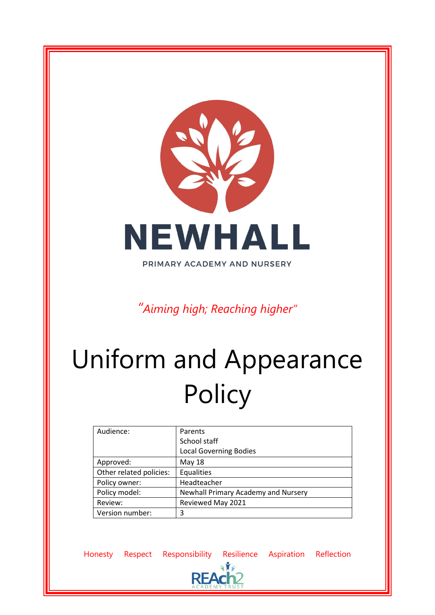

PRIMARY ACADEMY AND NURSERY

*"Aiming high; Reaching higher"*

# Uniform and Appearance **Policy**

| Audience:               | Parents                             |
|-------------------------|-------------------------------------|
|                         | School staff                        |
|                         | <b>Local Governing Bodies</b>       |
| Approved:               | May 18                              |
| Other related policies: | Equalities                          |
| Policy owner:           | Headteacher                         |
| Policy model:           | Newhall Primary Academy and Nursery |
| Review:                 | Reviewed May 2021                   |
| Version number:         | 3                                   |

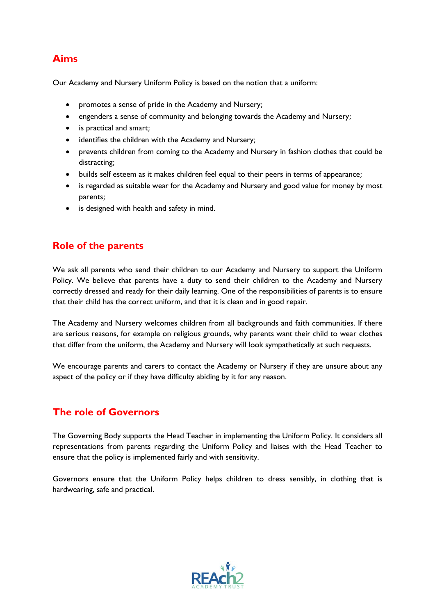## **Aims**

Our Academy and Nursery Uniform Policy is based on the notion that a uniform:

- promotes a sense of pride in the Academy and Nursery;
- engenders a sense of community and belonging towards the Academy and Nursery;
- is practical and smart;
- identifies the children with the Academy and Nursery;
- prevents children from coming to the Academy and Nursery in fashion clothes that could be distracting;
- builds self esteem as it makes children feel equal to their peers in terms of appearance;
- is regarded as suitable wear for the Academy and Nursery and good value for money by most parents;
- is designed with health and safety in mind.

## **Role of the parents**

We ask all parents who send their children to our Academy and Nursery to support the Uniform Policy. We believe that parents have a duty to send their children to the Academy and Nursery correctly dressed and ready for their daily learning. One of the responsibilities of parents is to ensure that their child has the correct uniform, and that it is clean and in good repair.

The Academy and Nursery welcomes children from all backgrounds and faith communities. If there are serious reasons, for example on religious grounds, why parents want their child to wear clothes that differ from the uniform, the Academy and Nursery will look sympathetically at such requests.

We encourage parents and carers to contact the Academy or Nursery if they are unsure about any aspect of the policy or if they have difficulty abiding by it for any reason.

## **The role of Governors**

The Governing Body supports the Head Teacher in implementing the Uniform Policy. It considers all representations from parents regarding the Uniform Policy and liaises with the Head Teacher to ensure that the policy is implemented fairly and with sensitivity.

Governors ensure that the Uniform Policy helps children to dress sensibly, in clothing that is hardwearing, safe and practical.

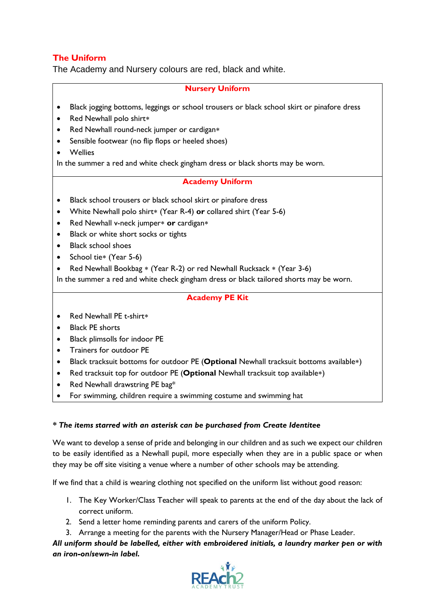### **The Uniform**

The Academy and Nursery colours are red, black and white.

#### **Nursery Uniform**

- Black jogging bottoms, leggings or school trousers or black school skirt or pinafore dress
- Red Newhall polo shirt\*
- Red Newhall round-neck jumper or cardigan\*
- Sensible footwear (no flip flops or heeled shoes)
- Wellies

In the summer a red and white check gingham dress or black shorts may be worn.

#### **Academy Uniform**

- Black school trousers or black school skirt or pinafore dress
- White Newhall polo shirt\* (Year R-4) **or** collared shirt (Year 5-6)
- Red Newhall v-neck jumper\* or cardigan\*
- Black or white short socks or tights
- Black school shoes
- School tie\* (Year 5-6)
- Red Newhall Bookbag \* (Year R-2) or red Newhall Rucksack \* (Year 3-6)

In the summer a red and white check gingham dress or black tailored shorts may be worn.

#### **Academy PE Kit**

- Red Newhall PE t-shirt\*
- **Black PE shorts**
- Black plimsolls for indoor PE
- Trainers for outdoor PE
- Black tracksuit bottoms for outdoor PE (**Optional** Newhall tracksuit bottoms available\*)
- Red tracksuit top for outdoor PE (**Optional** Newhall tracksuit top available\*)
- Red Newhall drawstring PE bag\*
- For swimming, children require a swimming costume and swimming hat

#### *\* The items starred with an asterisk can be purchased from Create Identitee*

We want to develop a sense of pride and belonging in our children and as such we expect our children to be easily identified as a Newhall pupil, more especially when they are in a public space or when they may be off site visiting a venue where a number of other schools may be attending.

If we find that a child is wearing clothing not specified on the uniform list without good reason:

- 1. The Key Worker/Class Teacher will speak to parents at the end of the day about the lack of correct uniform.
- 2. Send a letter home reminding parents and carers of the uniform Policy.
- 3. Arrange a meeting for the parents with the Nursery Manager/Head or Phase Leader.

*All uniform should be labelled, either with embroidered initials, a laundry marker pen or with an iron-on/sewn-in label.*